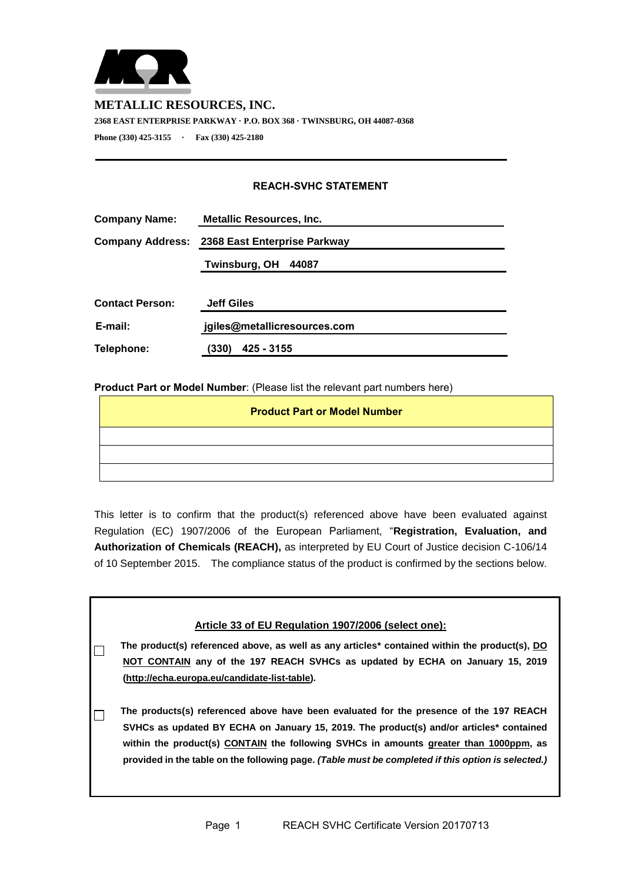

## **METALLIC RESOURCES, INC.**

**2368 EAST ENTERPRISE PARKWAY · P.O. BOX 368 · TWINSBURG, OH 44087-0368** 

**Phone (330) 425-3155 · Fax (330) 425-2180**

## **REACH-SVHC STATEMENT**

| <b>Company Name:</b>    | <b>Metallic Resources, Inc.</b> |  |  |  |
|-------------------------|---------------------------------|--|--|--|
| <b>Company Address:</b> | 2368 East Enterprise Parkway    |  |  |  |
|                         | Twinsburg, OH<br>44087          |  |  |  |
| <b>Contact Person:</b>  | <b>Jeff Giles</b>               |  |  |  |
| E-mail:                 | jgiles@metallicresources.com    |  |  |  |
| Telephone:              | (330)<br>425 - 3155             |  |  |  |

## **Product Part or Model Number**: (Please list the relevant part numbers here)

| <b>Product Part or Model Number</b> |  |  |  |  |  |
|-------------------------------------|--|--|--|--|--|
|                                     |  |  |  |  |  |
|                                     |  |  |  |  |  |
|                                     |  |  |  |  |  |

This letter is to confirm that the product(s) referenced above have been evaluated against Regulation (EC) 1907/2006 of the European Parliament, "**Registration, Evaluation, and Authorization of Chemicals (REACH),** as interpreted by EU Court of Justice decision C-106/14 of 10 September 2015. The compliance status of the product is confirmed by the sections below.

| Article 33 of EU Regulation 1907/2006 (select one):                                                                                                                                                                                                                                                                                                                              |
|----------------------------------------------------------------------------------------------------------------------------------------------------------------------------------------------------------------------------------------------------------------------------------------------------------------------------------------------------------------------------------|
| The product(s) referenced above, as well as any articles* contained within the product(s), DO<br>NOT CONTAIN any of the 197 REACH SVHCs as updated by ECHA on January 15, 2019<br>(http://echa.europa.eu/candidate-list-table).                                                                                                                                                  |
| The products(s) referenced above have been evaluated for the presence of the 197 REACH<br>SVHCs as updated BY ECHA on January 15, 2019. The product(s) and/or articles* contained<br>within the product(s) CONTAIN the following SVHCs in amounts greater than 1000ppm, as<br>provided in the table on the following page. (Table must be completed if this option is selected.) |